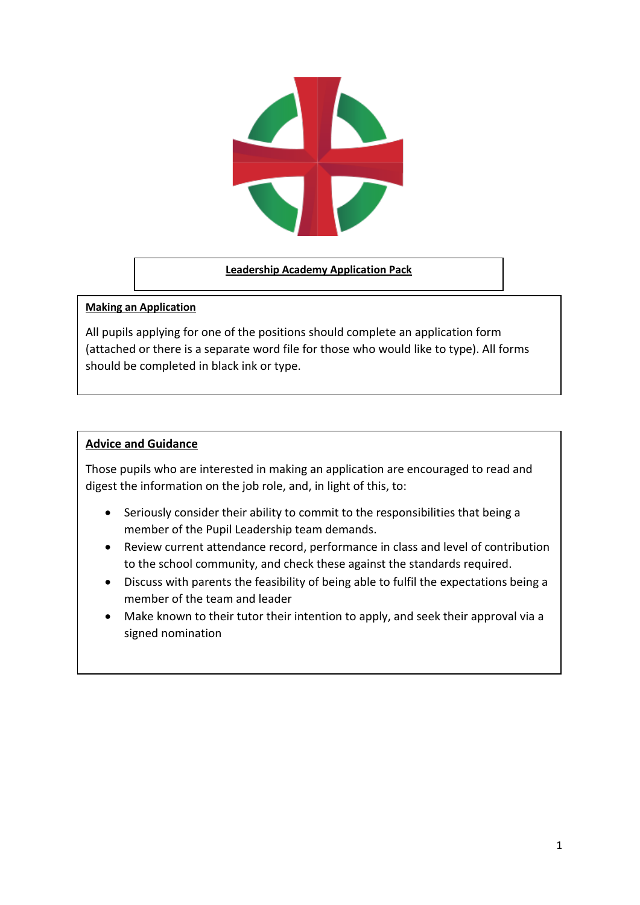

#### **Leadership Academy Application Pack**

#### **Making an Application**

All pupils applying for one of the positions should complete an application form (attached or there is a separate word file for those who would like to type). All forms should be completed in black ink or type.

### **Advice and Guidance**

Those pupils who are interested in making an application are encouraged to read and digest the information on the job role, and, in light of this, to:

- Seriously consider their ability to commit to the responsibilities that being a member of the Pupil Leadership team demands.
- Review current attendance record, performance in class and level of contribution to the school community, and check these against the standards required.
- Discuss with parents the feasibility of being able to fulfil the expectations being a member of the team and leader
- Make known to their tutor their intention to apply, and seek their approval via a signed nomination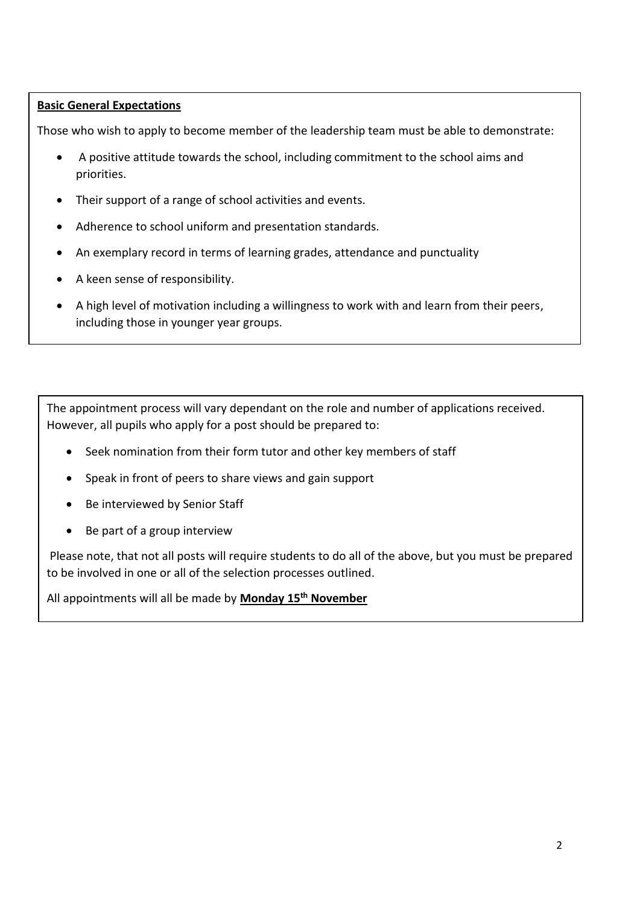## **Basic General Expectations**

Those who wish to apply to become member of the leadership team must be able to demonstrate:

- A positive attitude towards the school, including commitment to the school aims and priorities.
- Their support of a range of school activities and events.
- Adherence to school uniform and presentation standards.
- An exemplary record in terms of learning grades, attendance and punctuality
- A keen sense of responsibility.
- A high level of motivation including a willingness to work with and learn from their peers, including those in younger year groups.

The appointment process will vary dependant on the role and number of applications received. However, all pupils who apply for a post should be prepared to:

- Seek nomination from their form tutor and other key members of staff
- Speak in front of peers to share views and gain support
- Be interviewed by Senior Staff
- Be part of a group interview

Please note, that not all posts will require students to do all of the above, but you must be prepared to be involved in one or all of the selection processes outlined.

All appointments will all be made by **Monday 15th November**